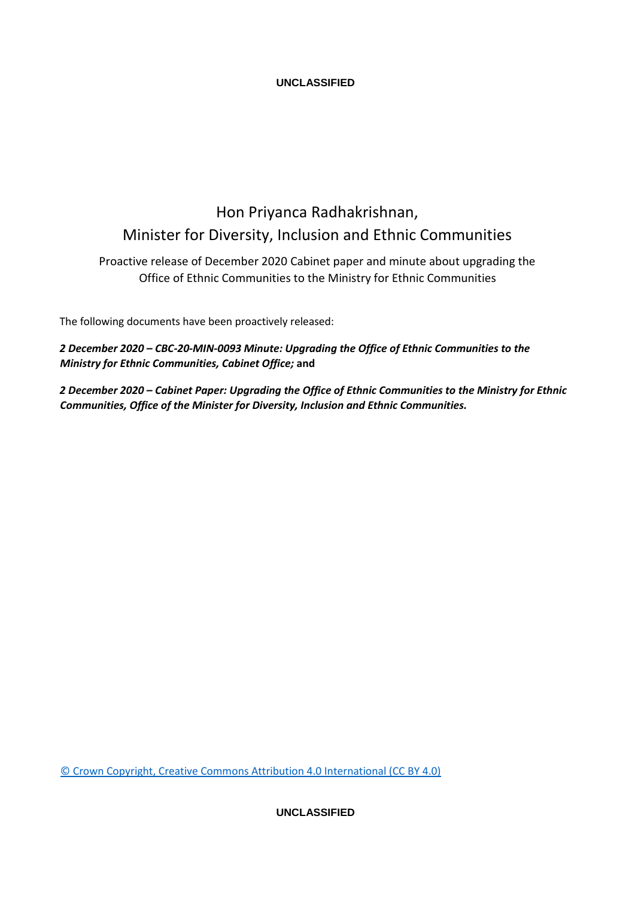# Hon Priyanca Radhakrishnan, Minister for Diversity, Inclusion and Ethnic Communities

### Office of Ethnic Communities to the Ministry for Ethnic Communities Proactive release of December 2020 Cabinet paper and minute about upgrading the

The following documents have been proactively released:

 *2 December 2020 – CBC-20-MIN-0093 Minute: Upgrading the Office of Ethnic Communities to the Ministry for Ethnic Communities, Cabinet Office;* **and** 

 *2 December 2020 – Cabinet Paper: Upgrading the Office of Ethnic Communities to the Ministry for Ethnic Communities, Office of the Minister for Diversity, Inclusion and Ethnic Communities.* 

© Crown Copyright, Creative Commons Attribution 4.0 International (CC BY 4.0)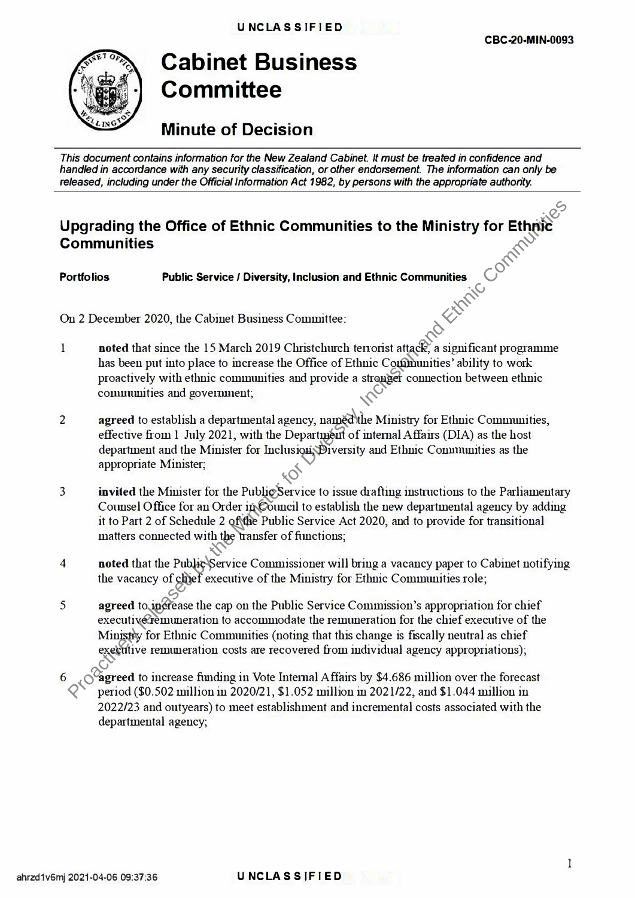

# **Cabinet Business Committee**

# **Minute of Decision**

*This document contains information for the New Zealand Cabinet. It must be treated in confidence and handled in accordance with any security classification, or other endorsement. The information can only be released, including under the Official lnfonnation Act 1982, by persons with the appropriate authority.* 

# **Upgrading the Office of Ethnic Communities to the Ministry for Ethnic Communities Portfolios**<br> **Public Service / Diversity, Inclusion and Ethnic Communities**  $\bigodot$ <br>
On 2 December 2020, the Cabinet Business Communities **Communities**

On 2 December 2020, the Cabinet Business Committee:

- 1 **noted** that since the 15 March 2019 Christchurch terrorist attack, a significant programme has been put into place to increase the Office of Ethnic Communities' ability to work proactively with ethnic communities and provide a stronger connection between ethnic communities and government;
- 2 **agreed** to establish a departmental agency, named the Ministry for Ethnic Communities, effective from 1 July 2021, with the Department of internal Affairs (DIA) as the host department and the Minister for Inclusion, Diversity and Ethnic Conumunities as the appropriate Minister;
- 3 **invited** the Minister for the Public Service to issue drafting instrnctions to the Parliamentary Counsel Office for an Order in Council to establish the new departmental agency by adding it to Part 2 of Schedule 2 of the Public Service Act 2020, and to provide for transitional matters connected with the transfer of fimctions;
- 4 **noted** that the Public Service Commissioner will bring a vacancy paper to Cabinet notifying the vacancy of chief executive of the Ministry for Ethnic Communities role;
- 5 **agreed** to increase the cap on the Public Service Commission's appropriation for chief executive remuneration to accommodate the remuneration for the chief executive of the Ministry for Ethnic Communities (noting that this change is fiscally neutral as chief executive remuneration costs are recovered from individual agency appropriations); **Degrading the Office of Ethnic Communities to the Ministry for Ethnic<br>
Communities<br>
Forthios Public Service / Diversity, Inclusion and Ethnic Communities<br>
In 2 December 2020, the Cabinet Business Committee:<br>
<b>noted that**
- **Gagreed** to increase funding in Vote Internal Affairs by \$4.686 million over the forecast period (\$0.502 million in 2020/21, \$1.052 million in 2021/22, and \$1.044 million in 2022/23 and outyears) to meet establishment and incremental costs associated with the departmental agency;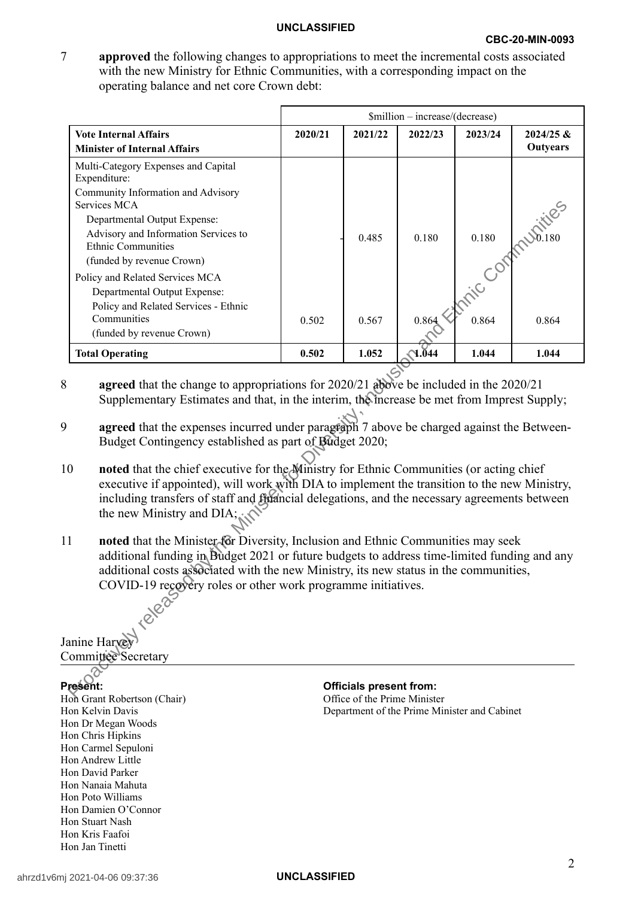#### **CBC-20-MIN-0093**

#### **UNCLASSIFIED**

7 **approved** the following changes to appropriations to meet the incremental costs associated with the new Ministry for Ethnic Communities, with a corresponding impact on the operating balance and net core Crown debt:

|                                                                                                                                                                                                                                                                                                                                                                                                                                                                                                                                                                                               | \$million - increase/(decrease) |                                                                |                      |           |                       |  |  |  |
|-----------------------------------------------------------------------------------------------------------------------------------------------------------------------------------------------------------------------------------------------------------------------------------------------------------------------------------------------------------------------------------------------------------------------------------------------------------------------------------------------------------------------------------------------------------------------------------------------|---------------------------------|----------------------------------------------------------------|----------------------|-----------|-----------------------|--|--|--|
| <b>Vote Internal Affairs</b>                                                                                                                                                                                                                                                                                                                                                                                                                                                                                                                                                                  | 2020/21                         | 2021/22                                                        | 2022/23              | 2023/24   | $2024/25$ &           |  |  |  |
| <b>Minister of Internal Affairs</b>                                                                                                                                                                                                                                                                                                                                                                                                                                                                                                                                                           |                                 |                                                                |                      |           | <b>Outyears</b>       |  |  |  |
| Multi-Category Expenses and Capital<br>Expenditure:                                                                                                                                                                                                                                                                                                                                                                                                                                                                                                                                           |                                 |                                                                |                      |           |                       |  |  |  |
| Community Information and Advisory<br>Services MCA                                                                                                                                                                                                                                                                                                                                                                                                                                                                                                                                            |                                 |                                                                |                      |           |                       |  |  |  |
| Departmental Output Expense:                                                                                                                                                                                                                                                                                                                                                                                                                                                                                                                                                                  |                                 |                                                                |                      |           |                       |  |  |  |
| Advisory and Information Services to<br><b>Ethnic Communities</b>                                                                                                                                                                                                                                                                                                                                                                                                                                                                                                                             |                                 | 0.485                                                          | 0.180                | 0.180     | $k_{\mathcal{C}_{7}}$ |  |  |  |
| (funded by revenue Crown)                                                                                                                                                                                                                                                                                                                                                                                                                                                                                                                                                                     |                                 |                                                                |                      | tric Cont |                       |  |  |  |
| Policy and Related Services MCA                                                                                                                                                                                                                                                                                                                                                                                                                                                                                                                                                               |                                 |                                                                |                      |           |                       |  |  |  |
| Departmental Output Expense:                                                                                                                                                                                                                                                                                                                                                                                                                                                                                                                                                                  |                                 |                                                                |                      |           |                       |  |  |  |
| Policy and Related Services - Ethnic                                                                                                                                                                                                                                                                                                                                                                                                                                                                                                                                                          |                                 |                                                                |                      |           |                       |  |  |  |
| Communities                                                                                                                                                                                                                                                                                                                                                                                                                                                                                                                                                                                   | 0.502                           | 0.567                                                          | 0.864                | 0.864     | 0.864                 |  |  |  |
| (funded by revenue Crown)                                                                                                                                                                                                                                                                                                                                                                                                                                                                                                                                                                     |                                 |                                                                |                      |           |                       |  |  |  |
| <b>Total Operating</b>                                                                                                                                                                                                                                                                                                                                                                                                                                                                                                                                                                        | 0.502                           | 1.052                                                          | $\gamma_{.044}^{00}$ | 1.044     | 1.044                 |  |  |  |
| Supplementary Estimates and that, in the interim, the increase be met from Imprest Supply;<br>agreed that the expenses incurred under paragraph 7 above be charged against the Between-<br>Budget Contingency established as part of Budget 2020;<br>noted that the chief executive for the Ministry for Ethnic Communities (or acting chief<br>$\boldsymbol{0}$<br>executive if appointed), will work with DIA to implement the transition to the new Ministry,<br>including transfers of staff and financial delegations, and the necessary agreements between<br>the new Ministry and DIA; |                                 |                                                                |                      |           |                       |  |  |  |
| noted that the Minister for Diversity, Inclusion and Ethnic Communities may seek<br>$\mathbf{1}$<br>additional funding in Budget 2021 or future budgets to address time-limited funding and any<br>additional costs associated with the new Ministry, its new status in the communities,<br>COVID-19 recovery roles or other work programme initiatives.<br>anine Harve                                                                                                                                                                                                                       |                                 |                                                                |                      |           |                       |  |  |  |
| Committee Secretary                                                                                                                                                                                                                                                                                                                                                                                                                                                                                                                                                                           |                                 |                                                                |                      |           |                       |  |  |  |
| resent:<br>$+$ Dobortson (Ch.                                                                                                                                                                                                                                                                                                                                                                                                                                                                                                                                                                 |                                 | <b>Officials present from:</b><br>Office of the Drime Minister |                      |           |                       |  |  |  |

- 8 **agreed** that the change to appropriations for 2020/21 above be included in the 2020/21 Supplementary Estimates and that, in the interim, the increase be met from Imprest Supply;
- **agreed** that the expenses incurred under paragraph 7 above be charged against the Between-Budget Contingency established as part of Budget 2020;
- 10 **noted** that the chief executive for the Ministry for Ethnic Communities (or acting chief executive if appointed), will work with DIA to implement the transition to the new Ministry, including transfers of staff and financial delegations, and the necessary agreements between the new Ministry and DIA;
- 11 **noted** that the Minister for Diversity, Inclusion and Ethnic Communities may seek additional funding in Budget 2021 or future budgets to address time-limited funding and any additional costs associated with the new Ministry, its new status in the communities, COVID-19 recovery roles or other work programme initiatives.

Janine Harvey Committee Secretary

## **Present:**

Hon Grant Robertson (Chair) Hon Kelvin Davis Hon Dr Megan Woods Hon Chris Hipkins Hon Carmel Sepuloni Hon Andrew Little Hon David Parker Hon Nanaia Mahuta Hon Poto Williams Hon Damien O'Connor Hon Stuart Nash Hon Kris Faafoi Hon Jan Tinetti

 **Officials present from:** Office of the Prime Minister Department of the Prime Minister and Cabinet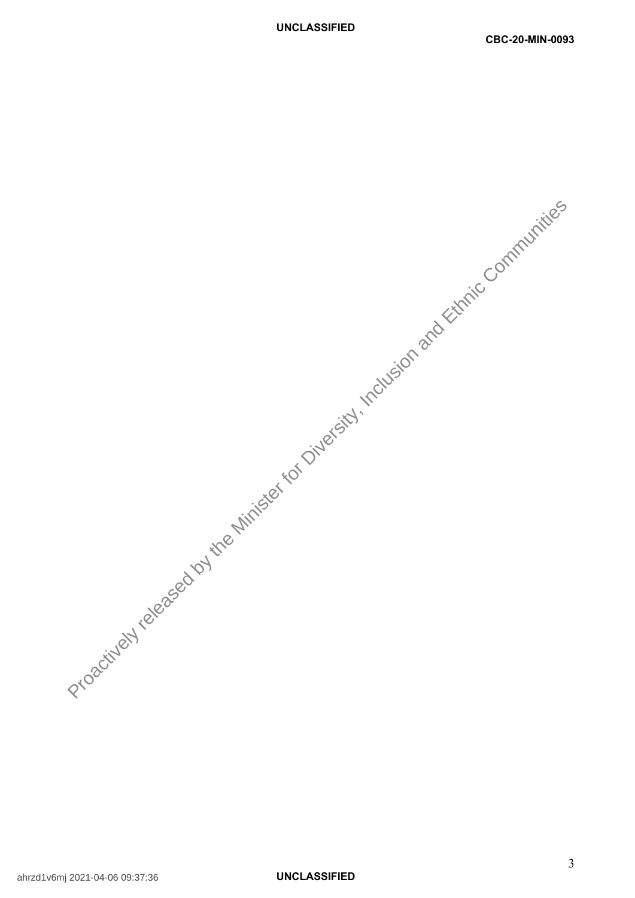Programs the Minister of Diversity, Inclusion and Ethnic Communities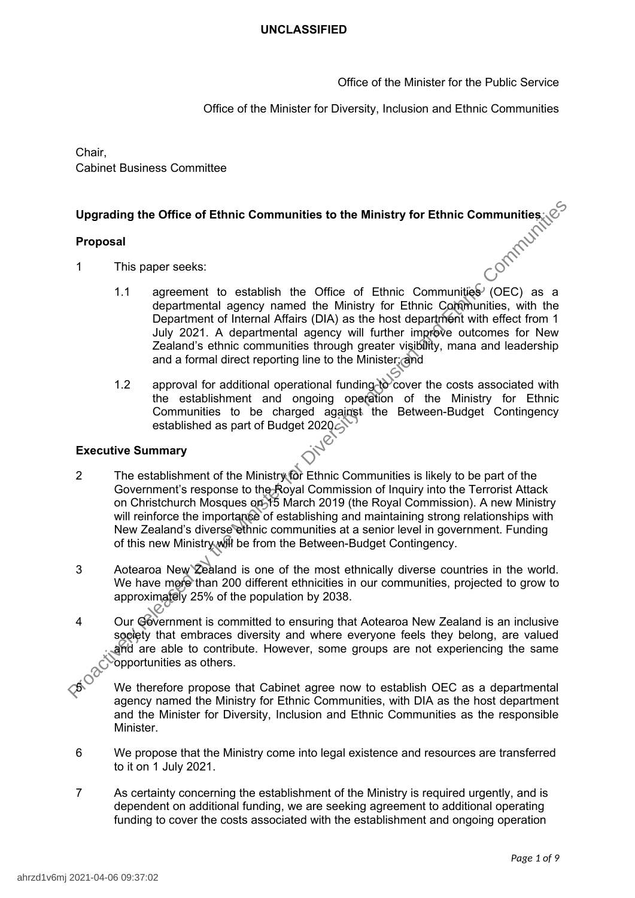Office of the Minister for the Public Service

Office of the Minister for Diversity, Inclusion and Ethnic Communities

 Cabinet Business Committee Chair,

#### **Upgrading the Office of Ethnic Communities to the Ministry for Ethnic Communities**

#### **Proposal**

- 1 This paper seeks:
	- 1.1 agreement to establish the Office of Ethnic Communities (OEC) as a departmental agency named the Ministry for Ethnic Communities, with the Department of Internal Affairs (DIA) as the host department with effect from 1 July 2021. A departmental agency will further improve outcomes for New Zealand's ethnic communities through greater visibility, mana and leadership and a formal direct reporting line to the Minister; and
	- 1.2 approval for additional operational funding to cover the costs associated with the establishment and ongoing operation of the Ministry for Ethnic Communities to be charged against the Between-Budget Contingency established as part of Budget 2020.

#### **Executive Summary**

- 2 The establishment of the Ministry for Ethnic Communities is likely to be part of the Government's response to the Royal Commission of Inquiry into the Terrorist Attack on Christchurch Mosques on 15 March 2019 (the Royal Commission). A new Ministry will reinforce the importance of establishing and maintaining strong relationships with New Zealand's diverse ethnic communities at a senior level in government. Funding of this new Ministry will be from the Between-Budget Contingency. **Upgrading the Office of Ethnic Communities to the Ministry for Ethnic Communities.**<br>
This paper seeks:<br>
1.1 agreement to establish the Office of Ethnic Communities (OEC) as a department of internal agency named the Minis
	- 3 Aotearoa New Zealand is one of the most ethnically diverse countries in the world. We have more than 200 different ethnicities in our communities, projected to grow to approximately 25% of the population by 2038.
	- 4 Our Government is committed to ensuring that Aotearoa New Zealand is an inclusive society that embraces diversity and where everyone feels they belong, are valued and are able to contribute. However, some groups are not experiencing the same opportunities as others.

 5 We therefore propose that Cabinet agree now to establish OEC as a departmental agency named the Ministry for Ethnic Communities, with DIA as the host department and the Minister for Diversity, Inclusion and Ethnic Communities as the responsible Minister.

- 6 We propose that the Ministry come into legal existence and resources are transferred to it on 1 July 2021.
- 7 As certainty concerning the establishment of the Ministry is required urgently, and is dependent on additional funding, we are seeking agreement to additional operating funding to cover the costs associated with the establishment and ongoing operation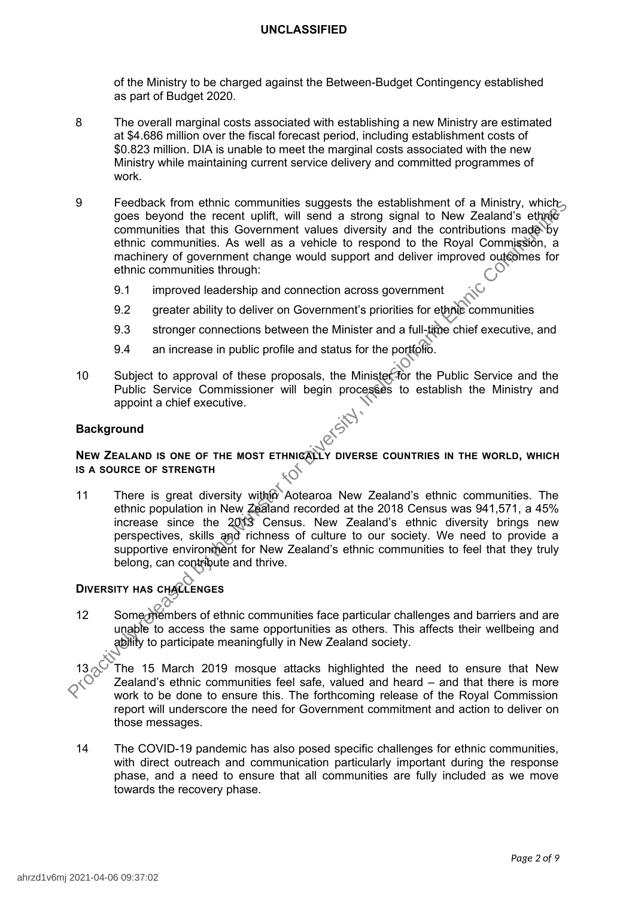of the Ministry to be charged against the Between-Budget Contingency established as part of Budget 2020.

- 8 The overall marginal costs associated with establishing a new Ministry are estimated at \$4.686 million over the fiscal forecast period, including establishment costs of \$0.823 million. DIA is unable to meet the marginal costs associated with the new Ministry while maintaining current service delivery and committed programmes of work.
- 9 Feedback from ethnic communities suggests the establishment of a Ministry, which goes beyond the recent uplift, will send a strong signal to New Zealand's ethnic communities that this Government values diversity and the contributions made by ethnic communities. As well as a vehicle to respond to the Royal Commi**ssió**n, a machinery of government change would support and deliver improved outcomes for ethnic communities through:
	- 9.1 improved leadership and connection across government
	- 9.2 greater ability to deliver on Government's priorities for ethnic communities
	- 9.3 stronger connections between the Minister and a full-time chief executive, and
	- 9.4 an increase in public profile and status for the portfolio.
- 10 Subject to approval of these proposals, the Minister for the Public Service and the Public Service Commissioner will begin processes to establish the Ministry and appoint a chief executive.

#### **Background**

 **NEW ZEALAND IS ONE OF THE MOST ETHNICALLY DIVERSE COUNTRIES IN THE WORLD, WHICH IS A SOURCE OF STRENGTH**

11 There is great diversity within Aotearoa New Zealand's ethnic communities. The ethnic population in New Zealand recorded at the 2018 Census was 941,571, a 45% increase since the 2013 Census. New Zealand's ethnic diversity brings new perspectives, skills and richness of culture to our society. We need to provide a supportive environment for New Zealand's ethnic communities to feel that they truly belong, can contribute and thrive. From the Covernment valuate subsets the establishment or a whistery, which<br>communities has the Sovernment valuate a diversity and the contributions mage by<br>the effinic communities. As well as a vehicle to respond to the Ro

#### **DIVERSITY HAS CHALLENGES**

- 12 Some members of ethnic communities face particular challenges and barriers and are unable to access the same opportunities as others. This affects their wellbeing and ability to participate meaningfully in New Zealand society.
- 13  $\sim$  The 15 March 2019 mosque attacks highlighted the need to ensure that New Zealand's ethnic communities feel safe, valued and heard – and that there is more work to be done to ensure this. The forthcoming release of the Royal Commission report will underscore the need for Government commitment and action to deliver on those messages.
- 14 The COVID-19 pandemic has also posed specific challenges for ethnic communities, with direct outreach and communication particularly important during the response phase, and a need to ensure that all communities are fully included as we move towards the recovery phase.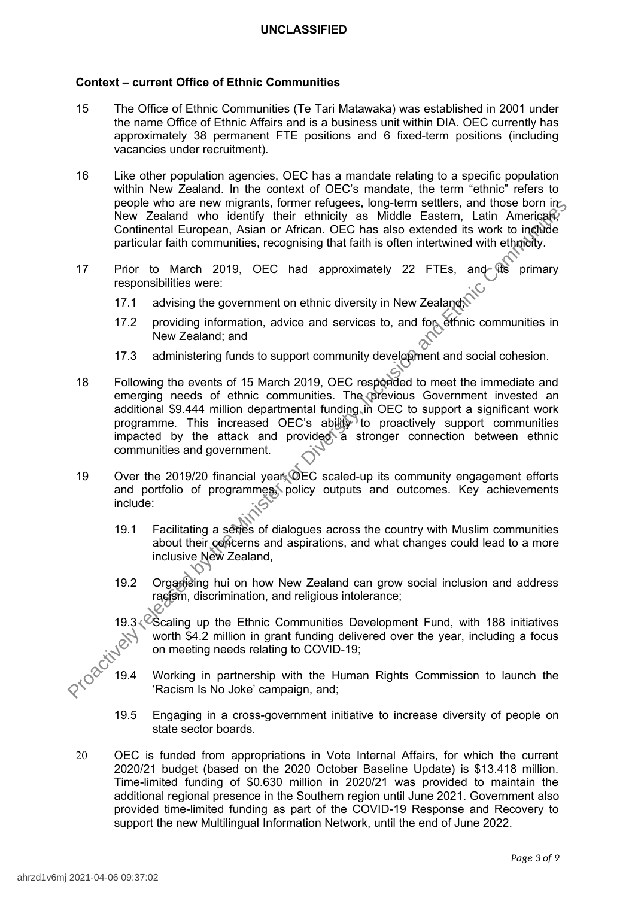#### **Context – current Office of Ethnic Communities**

- 15 The Office of Ethnic Communities (Te Tari Matawaka) was established in 2001 under the name Office of Ethnic Affairs and is a business unit within DIA. OEC currently has approximately 38 permanent FTE positions and 6 fixed-term positions (including vacancies under recruitment).
- 16 Like other population agencies, OEC has a mandate relating to a specific population within New Zealand. In the context of OEC's mandate, the term "ethnic" refers to people who are new migrants, former refugees, long-term settlers, and those born in New Zealand who identify their ethnicity as Middle Eastern, Latin American, Continental European, Asian or African. OEC has also extended its work to include particular faith communities, recognising that faith is often intertwined with ethnicity.
- 17 Prior to March 2019, OEC had approximately 22 FTEs, and its primary responsibilities were:
	- 17.1 advising the government on ethnic diversity in New Zealand;
	- 17.2 providing information, advice and services to, and for, ethnic communities in New Zealand; and
	- 17.3 administering funds to support community development and social cohesion.
- 18 Following the events of 15 March 2019, OEC responded to meet the immediate and emerging needs of ethnic communities. The previous Government invested an additional \$9.444 million departmental funding in OEC to support a significant work programme. This increased OEC's ability to proactively support communities impacted by the attack and provided, a stronger connection between ethnic communities and government. Propaga with a first may migrating, former freuges, long-term setters, and those born including characteristic propagation of African. OEC has also extended its work to innegate<br>particular fall communities, recognising th
	- 19 Over the 2019/20 financial year, OEC scaled-up its community engagement efforts and portfolio of programmes, policy outputs and outcomes. Key achievements include:
		- 19.1 Facilitating a series of dialogues across the country with Muslim communities about their concerns and aspirations, and what changes could lead to a more inclusive New Zealand,
		- 19.2 Organising hui on how New Zealand can grow social inclusion and address racism, discrimination, and religious intolerance;
		- 19.3 Scaling up the Ethnic Communities Development Fund, with 188 initiatives worth \$4.2 million in grant funding delivered over the year, including a focus on meeting needs relating to COVID-19;
		- 19.4 Working in partnership with the Human Rights Commission to launch the 'Racism Is No Joke' campaign, and;
		- 19.5 Engaging in a cross-government initiative to increase diversity of people on state sector boards.
	- 20 OEC is funded from appropriations in Vote Internal Affairs, for which the current 2020/21 budget (based on the 2020 October Baseline Update) is \$13.418 million. Time-limited funding of \$0.630 million in 2020/21 was provided to maintain the additional regional presence in the Southern region until June 2021. Government also provided time-limited funding as part of the COVID-19 Response and Recovery to support the new Multilingual Information Network, until the end of June 2022.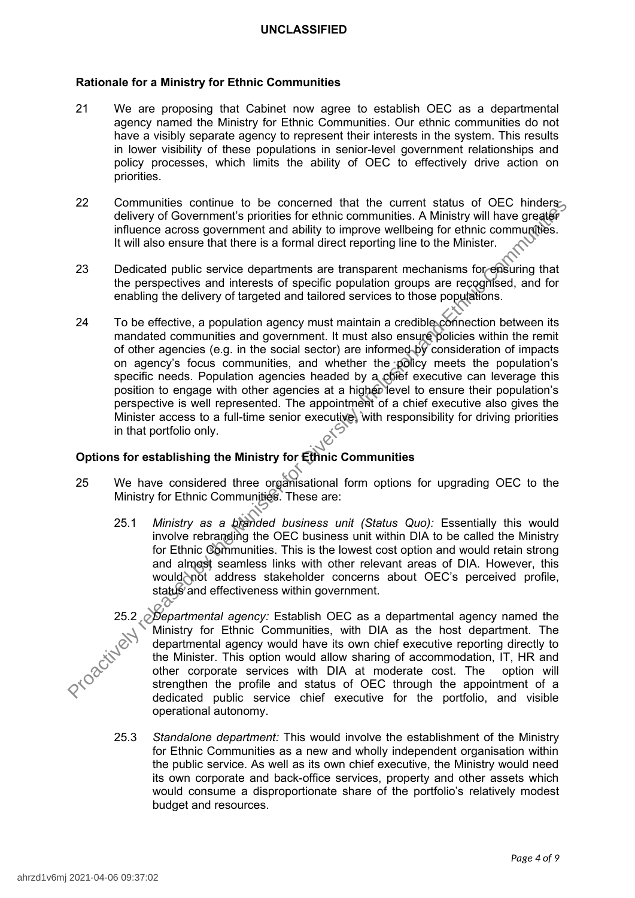#### **Rationale for a Ministry for Ethnic Communities**

- 21 We are proposing that Cabinet now agree to establish OEC as a departmental agency named the Ministry for Ethnic Communities. Our ethnic communities do not have a visibly separate agency to represent their interests in the system. This results in lower visibility of these populations in senior-level government relationships and policy processes, which limits the ability of OEC to effectively drive action on priorities.
- 22 Communities continue to be concerned that the current status of OEC hinders delivery of Government's priorities for ethnic communities. A Ministry will have greater influence across government and ability to improve wellbeing for ethnic communities. It will also ensure that there is a formal direct reporting line to the Minister.
- 23 Dedicated public service departments are transparent mechanisms for ensuring that the perspectives and interests of specific population groups are recognised, and for enabling the delivery of targeted and tailored services to those populations.
- 24 To be effective, a population agency must maintain a credible connection between its mandated communities and government. It must also ensure policies within the remit of other agencies (e.g. in the social sector) are informed by consideration of impacts on agency's focus communities, and whether the policy meets the population's specific needs. Population agencies headed by a chief executive can leverage this position to engage with other agencies at a higher level to ensure their population's perspective is well represented. The appointment of a chief executive also gives the Minister access to a full-time senior executive, with responsibility for driving priorities in that portfolio only. 22 Communities continue to be concerned that the current stats or UEU. Inneers<br>
influence access government and ability to improve wellbeing for effinite communities.<br>
It will also ensure that there is a formal dielity to

#### **Options for establishing the Ministry for Ethnic Communities**

- 25 We have considered three organisational form options for upgrading OEC to the Ministry for Ethnic Communities. These are:
	- 25.1 *Ministry as a branded business unit (Status Quo):* Essentially this would involve rebranding the OEC business unit within DIA to be called the Ministry for Ethnic Communities. This is the lowest cost option and would retain strong and almost seamless links with other relevant areas of DIA. However, this would not address stakeholder concerns about OEC's perceived profile, status and effectiveness within government.
	- 25.2 *Departmental agency:* Establish OEC as a departmental agency named the Ministry for Ethnic Communities, with DIA as the host department. The departmental agency would have its own chief executive reporting directly to the Minister. This option would allow sharing of accommodation, IT, HR and other corporate services with DIA at moderate cost. The option will strengthen the profile and status of OEC through the appointment of a dedicated public service chief executive for the portfolio, and visible operational autonomy.
	- 25.3 *Standalone department:* This would involve the establishment of the Ministry for Ethnic Communities as a new and wholly independent organisation within the public service. As well as its own chief executive, the Ministry would need its own corporate and back-office services, property and other assets which would consume a disproportionate share of the portfolio's relatively modest budget and resources.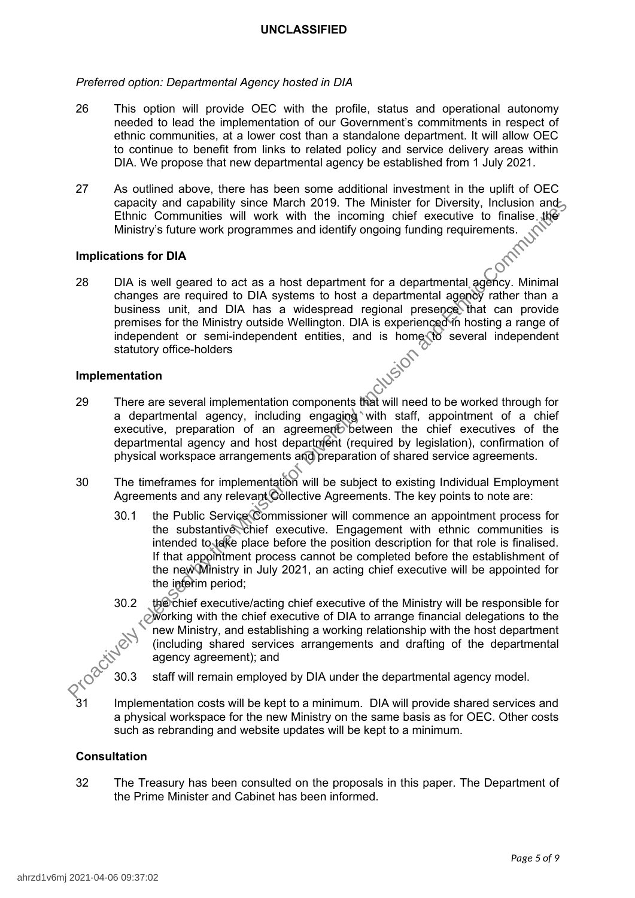#### *Preferred option: Departmental Agency hosted in DIA*

- 26 This option will provide OEC with the profile, status and operational autonomy needed to lead the implementation of our Government's commitments in respect of ethnic communities, at a lower cost than a standalone department. It will allow OEC to continue to benefit from links to related policy and service delivery areas within DIA. We propose that new departmental agency be established from 1 July 2021.
- 27 As outlined above, there has been some additional investment in the uplift of OEC capacity and capability since March 2019. The Minister for Diversity, Inclusion and Ethnic Communities will work with the incoming chief executive to finalise the Ministry's future work programmes and identify ongoing funding requirements.

#### **Implications for DIA**

 changes are required to DIA systems to host a departmental agency rather than a business unit, and DIA has a widespread regional presence that can provide premises for the Ministry outside Wellington. DIA is experienced in hosting a range of independent or semi-independent entities, and is home to several independent 28 DIA is well geared to act as a host department for a departmental agency. Minimal statutory office-holders capacity and capability since March 2013. In the Minister for Diversity, inclusion and<br>
Implication s for DIA<br>
Implications for DIA<br>
Implications for DIA<br>
Implications for DIA<br>
Implications for DIA<br>
Implications for DIA<br>
I

#### **Implementation**

- 29 There are several implementation components that will need to be worked through for a departmental agency, including engaging with staff, appointment of a chief executive, preparation of an agreement between the chief executives of the departmental agency and host department (required by legislation), confirmation of physical workspace arrangements and preparation of shared service agreements.
- 30 The timeframes for implementation will be subject to existing Individual Employment Agreements and any relevant Collective Agreements. The key points to note are:
	- 30.1 the Public Service Commissioner will commence an appointment process for the substantive chief executive. Engagement with ethnic communities is intended to take place before the position description for that role is finalised. If that appointment process cannot be completed before the establishment of the new Ministry in July 2021, an acting chief executive will be appointed for the interim period;
	- 30.2 the chief executive/acting chief executive of the Ministry will be responsible for working with the chief executive of DIA to arrange financial delegations to the new Ministry, and establishing a working relationship with the host department (including shared services arrangements and drafting of the departmental agency agreement); and
	- 30.3 staff will remain employed by DIA under the departmental agency model.

 31 Implementation costs will be kept to a minimum. DIA will provide shared services and a physical workspace for the new Ministry on the same basis as for OEC. Other costs such as rebranding and website updates will be kept to a minimum.

#### **Consultation**

 32 The Treasury has been consulted on the proposals in this paper. The Department of the Prime Minister and Cabinet has been informed.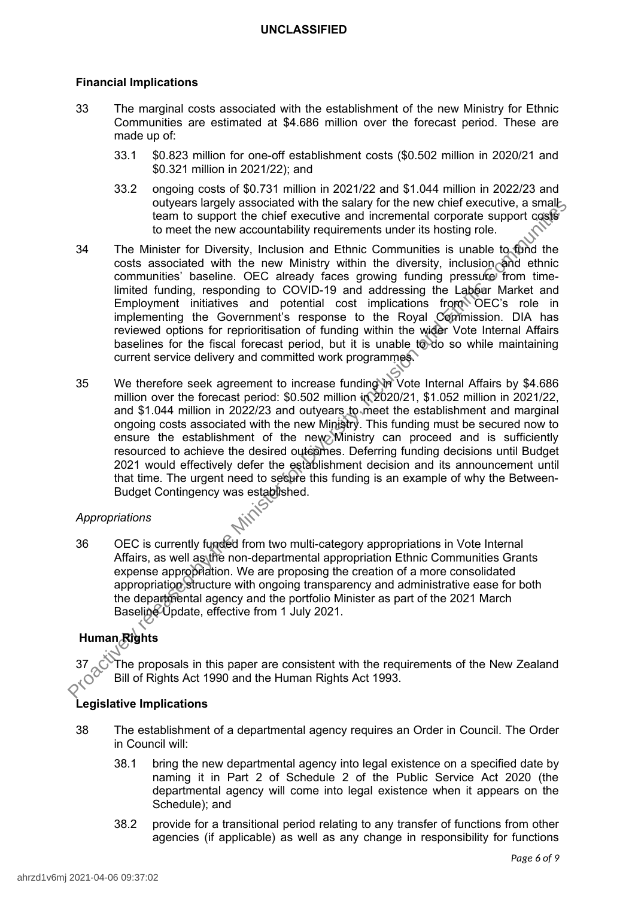#### **Financial Implications**

- 33 The marginal costs associated with the establishment of the new Ministry for Ethnic Communities are estimated at \$4.686 million over the forecast period. These are made up of:
	- 33.1 \$0.823 million for one-off establishment costs (\$0.502 million in 2020/21 and \$0.321 million in 2021/22); and
	- 33.2 ongoing costs of \$0.731 million in 2021/22 and \$1.044 million in 2022/23 and outyears largely associated with the salary for the new chief executive, a small team to support the chief executive and incremental corporate support costs to meet the new accountability requirements under its hosting role.
- 34 The Minister for Diversity, Inclusion and Ethnic Communities is unable to fund the costs associated with the new Ministry within the diversity, inclusion and ethnic communities' baseline. OEC already faces growing funding pressure from timelimited funding, responding to COVID-19 and addressing the Labour Market and Employment initiatives and potential cost implications from OEC's role in implementing the Government's response to the Royal Commission. DIA has reviewed options for reprioritisation of funding within the wider Vote Internal Affairs baselines for the fiscal forecast period, but it is unable to do so while maintaining current service delivery and committed work programmes.
- 35 We therefore seek agreement to increase funding in Vote Internal Affairs by \$4.686 million over the forecast period: \$0.502 million in 2020/21, \$1.052 million in 2021/22, and \$1.044 million in 2022/23 and outyears to meet the establishment and marginal ongoing costs associated with the new Min<del>ist</del>ry. This funding must be secured now to ensure the establishment of the new Ministry can proceed and is sufficiently resourced to achieve the desired outcomes. Deferring funding decisions until Budget 2021 would effectively defer the establishment decision and its announcement until that time. The urgent need to secure this funding is an example of why the Between-Budget Contingency was established. buyers are provided to the sacked by the Bealty from the mail excelutive and incremental corporate support consider<br>
train to support the chiracter of the match and the match and communities in the buyer and thin is the m

#### *Appropriations*

 36 OEC is currently funded from two multi-category appropriations in Vote Internal Affairs, as well as the non-departmental appropriation Ethnic Communities Grants expense appropriation. We are proposing the creation of a more consolidated appropriation structure with ongoing transparency and administrative ease for both the departmental agency and the portfolio Minister as part of the 2021 March Baseline Update, effective from 1 July 2021.

#### **Human Rights**

37  $\sim$  The proposals in this paper are consistent with the requirements of the New Zealand Bill of Rights Act 1990 and the Human Rights Act 1993.

#### **Legislative Implications**

- 38 The establishment of a departmental agency requires an Order in Council. The Order in Council will:
	- 38.1 bring the new departmental agency into legal existence on a specified date by naming it in Part 2 of Schedule 2 of the Public Service Act 2020 (the departmental agency will come into legal existence when it appears on the Schedule); and
	- 38.2 provide for a transitional period relating to any transfer of functions from other agencies (if applicable) as well as any change in responsibility for functions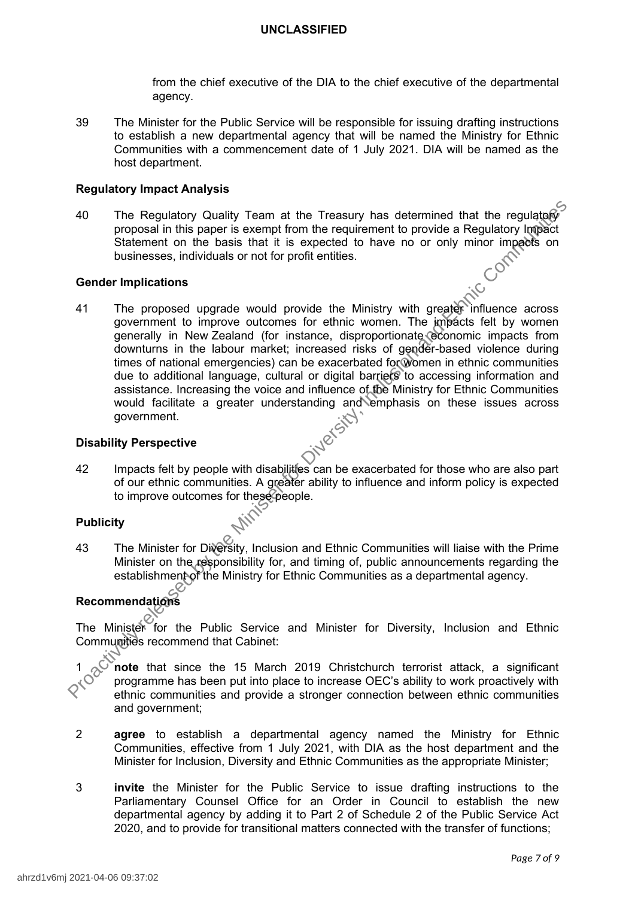from the chief executive of the DIA to the chief executive of the departmental agency.

 39 The Minister for the Public Service will be responsible for issuing drafting instructions to establish a new departmental agency that will be named the Ministry for Ethnic Communities with a commencement date of 1 July 2021. DIA will be named as the host department.

#### **Regulatory Impact Analysis**

40 The Regulatory Quality Team at the Treasury has determined that the regulatory proposal in this paper is exempt from the requirement to provide a Regulatory Impact Statement on the basis that it is expected to have no or only minor impacts on businesses, individuals or not for profit entities.

#### **Gender Implications**

41 The proposed upgrade would provide the Ministry with greater influence across government to improve outcomes for ethnic women. The impacts felt by women generally in New Zealand (for instance, disproportionate economic impacts from downturns in the labour market; increased risks of gender-based violence during times of national emergencies) can be exacerbated for women in ethnic communities due to additional language, cultural or digital barriers to accessing information and assistance. Increasing the voice and influence of the Ministry for Ethnic Communities would facilitate a greater understanding and emphasis on these issues across government. The Regulatory Quality Team at the Treasury has determined that the regulatory<br>
proposal in this paper is exempt from the requirement to provide a Regulatory in<br>
Statement on the basis that it is expected to have no or onl

#### **Disability Perspective**

 42 Impacts felt by people with disabilities can be exacerbated for those who are also part of our ethnic communities. A greater ability to influence and inform policy is expected to improve outcomes for these people.

#### **Publicity**

 43 The Minister for Diversity, Inclusion and Ethnic Communities will liaise with the Prime Minister on the responsibility for, and timing of, public announcements regarding the establishment of the Ministry for Ethnic Communities as a departmental agency.

#### **Recommendations**

 The Minister for the Public Service and Minister for Diversity, Inclusion and Ethnic Communities recommend that Cabinet:

- **1 <sub>n</sub>**<sup> $\circ$ </sup> note that since the 15 March 2019 Christchurch terrorist attack, a significant programme has been put into place to increase OEC's ability to work proactively with ethnic communities and provide a stronger connection between ethnic communities and government;
- 2 **agree** to establish a departmental agency named the Ministry for Ethnic Communities, effective from 1 July 2021, with DIA as the host department and the Minister for Inclusion, Diversity and Ethnic Communities as the appropriate Minister;
- 3 **invite** the Minister for the Public Service to issue drafting instructions to the Parliamentary Counsel Office for an Order in Council to establish the new departmental agency by adding it to Part 2 of Schedule 2 of the Public Service Act 2020, and to provide for transitional matters connected with the transfer of functions;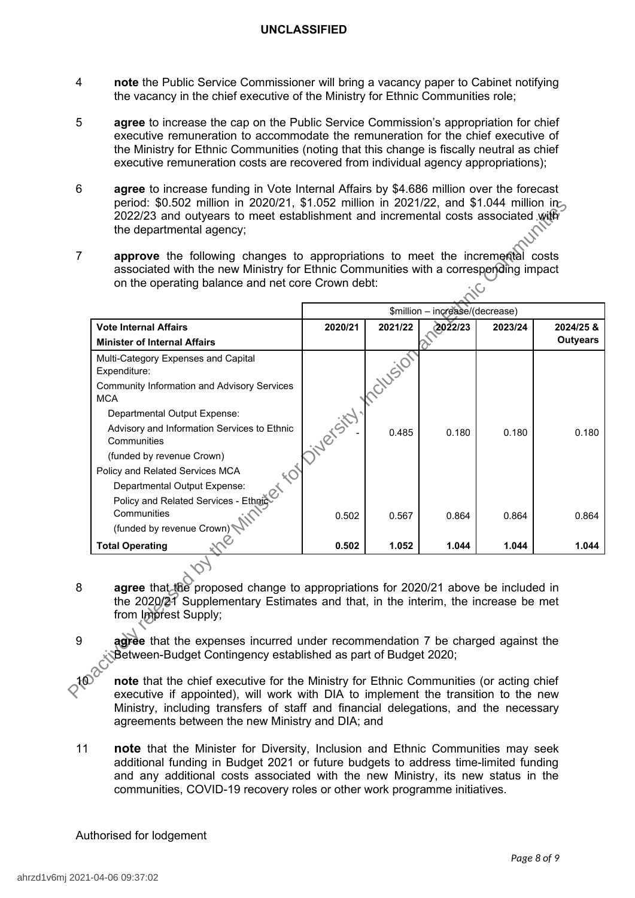- 4 **note** the Public Service Commissioner will bring a vacancy paper to Cabinet notifying the vacancy in the chief executive of the Ministry for Ethnic Communities role;
- 5 **agree** to increase the cap on the Public Service Commission's appropriation for chief executive remuneration to accommodate the remuneration for the chief executive of the Ministry for Ethnic Communities (noting that this change is fiscally neutral as chief executive remuneration costs are recovered from individual agency appropriations);
- 6 **agree** to increase funding in Vote Internal Affairs by \$4.686 million over the forecast period: \$0.502 million in 2020/21, \$1.052 million in 2021/22, and \$1.044 million in 2022/23 and outyears to meet establishment and incremental costs associated with the departmental agency;
- 7 **approve** the following changes to appropriations to meet the incremental costs associated with the new Ministry for Ethnic Communities with a corresponding impact on the operating balance and net core Crown debt:

|                | period: \$0.502 million in 2020/21, \$1.052 million in 2021/22, and \$1.044 million in<br>2022/23 and outyears to meet establishment and incremental costs associated wife                                                                                                                                                                                                                                                                   |                                                                                                                                                                      |                           |                |                |                              |  |  |  |
|----------------|----------------------------------------------------------------------------------------------------------------------------------------------------------------------------------------------------------------------------------------------------------------------------------------------------------------------------------------------------------------------------------------------------------------------------------------------|----------------------------------------------------------------------------------------------------------------------------------------------------------------------|---------------------------|----------------|----------------|------------------------------|--|--|--|
| $\overline{7}$ | the departmental agency;<br>on the operating balance and net core Crown debt:                                                                                                                                                                                                                                                                                                                                                                | approve the following changes to appropriations to meet the incremental costs<br>associated with the new Ministry for Ethnic Communities with a corresponding impact |                           |                |                |                              |  |  |  |
|                |                                                                                                                                                                                                                                                                                                                                                                                                                                              | \$million - increase/(decrease)                                                                                                                                      |                           |                |                |                              |  |  |  |
|                | <b>Vote Internal Affairs</b><br><b>Minister of Internal Affairs</b>                                                                                                                                                                                                                                                                                                                                                                          | 2020/21                                                                                                                                                              | 2021/22                   | 2022/23        | 2023/24        | 2024/25 &<br><b>Outyears</b> |  |  |  |
|                | Multi-Category Expenses and Capital<br>Expenditure:<br><b>Community Information and Advisory Services</b><br><b>MCA</b><br>Departmental Output Expense:<br>Advisory and Information Services to Ethnic<br>Communities<br>(funded by revenue Crown)<br><b>104</b><br>Policy and Related Services MCA<br>Departmental Output Expense:<br>Policy and Related Services - Ethnic<br>Communities                                                   | Jiversity,<br>0.502                                                                                                                                                  | Mousion<br>0.485<br>0.567 | 0.180<br>0.864 | 0.180<br>0.864 | 0.180<br>0.864               |  |  |  |
|                | (funded by revenue Crown)<br><b>Total Operating</b>                                                                                                                                                                                                                                                                                                                                                                                          | 0.502                                                                                                                                                                | 1.052                     | 1.044          | 1.044          | 1.044                        |  |  |  |
| 8<br>9<br>10   | agree that the proposed change to appropriations for 2020/21 above be included in<br>the 2020/21 Supplementary Estimates and that, in the interim, the increase be met<br>from Imprest Supply;<br>agree that the expenses incurred under recommendation 7 be charged against the<br>Between-Budget Contingency established as part of Budget 2020;<br>note that the chief executive for the Ministry for Ethnic Communities (or acting chief |                                                                                                                                                                      |                           |                |                |                              |  |  |  |
|                | executive if appointed), will work with DIA to implement the transition to the new                                                                                                                                                                                                                                                                                                                                                           |                                                                                                                                                                      |                           |                |                |                              |  |  |  |

- 8 **agree** that the proposed change to appropriations for 2020/21 above be included in the 2020/21 Supplementary Estimates and that, in the interim, the increase be met from Imprest Supply;
- 9 **agree** that the expenses incurred under recommendation 7 be charged against the Between-Budget Contingency established as part of Budget 2020;
- 10 **note** that the chief executive for the Ministry for Ethnic Communities (or acting chief executive if appointed), will work with DIA to implement the transition to the new Ministry, including transfers of staff and financial delegations, and the necessary agreements between the new Ministry and DIA; and
- 11 **note** that the Minister for Diversity, Inclusion and Ethnic Communities may seek additional funding in Budget 2021 or future budgets to address time-limited funding and any additional costs associated with the new Ministry, its new status in the communities, COVID-19 recovery roles or other work programme initiatives.